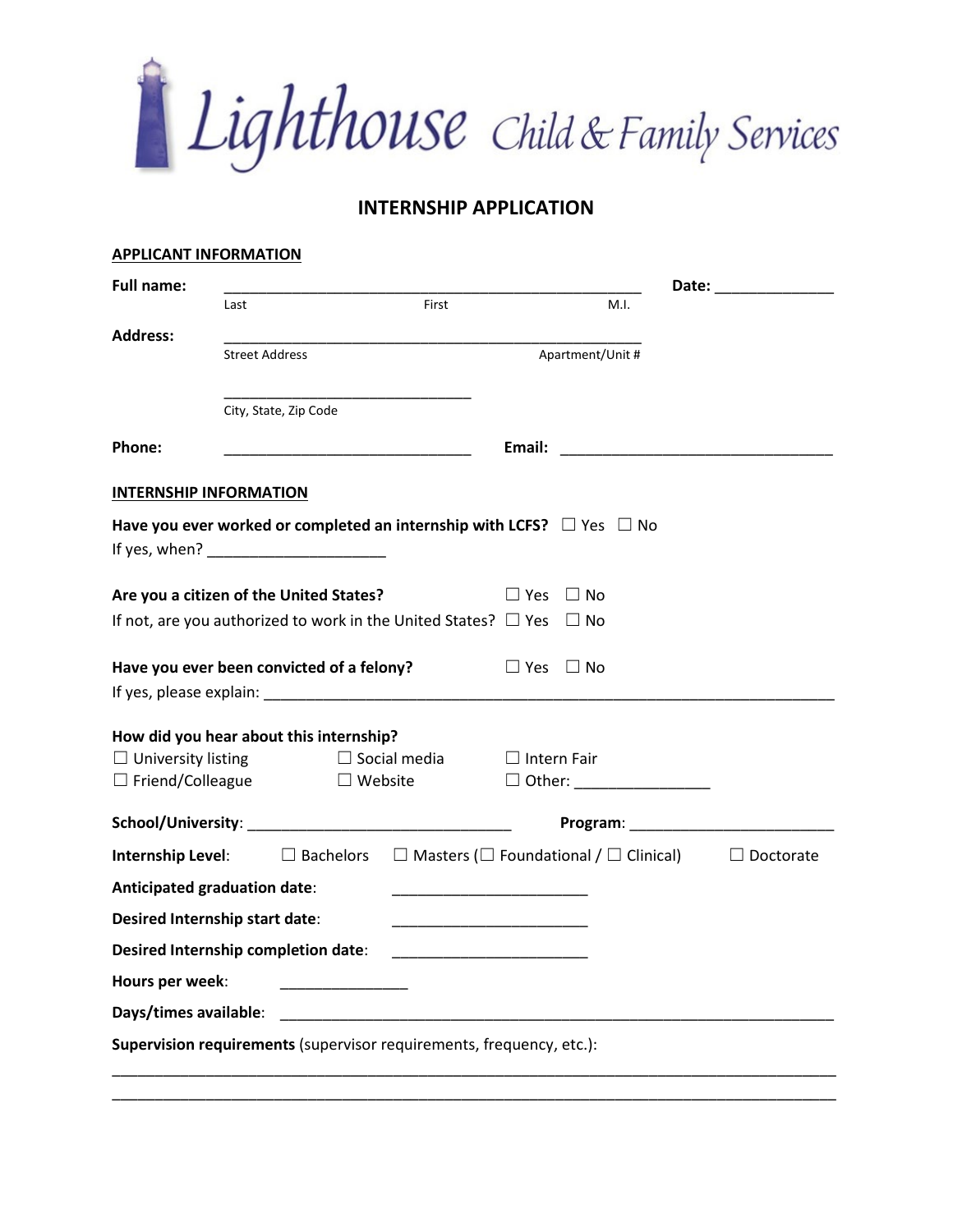Lighthouse Child & Family Services

## **INTERNSHIP APPLICATION**

| <b>APPLICANT INFORMATION</b>               |                |                       |                   |                                                                                                                               |                  |                  |
|--------------------------------------------|----------------|-----------------------|-------------------|-------------------------------------------------------------------------------------------------------------------------------|------------------|------------------|
| <b>Full name:</b>                          |                |                       |                   |                                                                                                                               |                  |                  |
|                                            | Last           |                       | First             |                                                                                                                               | M.I.             |                  |
| <b>Address:</b>                            | Street Address |                       |                   |                                                                                                                               | Apartment/Unit # |                  |
|                                            |                |                       |                   |                                                                                                                               |                  |                  |
|                                            |                | City, State, Zip Code |                   |                                                                                                                               |                  |                  |
|                                            |                |                       |                   |                                                                                                                               |                  |                  |
| Phone:                                     |                |                       |                   |                                                                                                                               |                  |                  |
| <b>INTERNSHIP INFORMATION</b>              |                |                       |                   |                                                                                                                               |                  |                  |
|                                            |                |                       |                   | Have you ever worked or completed an internship with LCFS? $\Box$ Yes $\Box$ No                                               |                  |                  |
|                                            |                |                       |                   |                                                                                                                               |                  |                  |
| Are you a citizen of the United States?    |                |                       |                   | $\Box$ Yes                                                                                                                    | $\Box$ No        |                  |
|                                            |                |                       |                   | If not, are you authorized to work in the United States? $\Box$ Yes $\Box$ No                                                 |                  |                  |
|                                            |                |                       |                   |                                                                                                                               |                  |                  |
| Have you ever been convicted of a felony?  |                |                       |                   | $\Box$ Yes $\Box$ No                                                                                                          |                  |                  |
|                                            |                |                       |                   |                                                                                                                               |                  |                  |
| How did you hear about this internship?    |                |                       |                   |                                                                                                                               |                  |                  |
| $\Box$ University listing                  |                | $\Box$ Social media   |                   | $\Box$ Intern Fair                                                                                                            |                  |                  |
| $\Box$ Friend/Colleague                    |                |                       | $\square$ Website | $\Box$ Other: $\Box$                                                                                                          |                  |                  |
|                                            |                |                       |                   |                                                                                                                               |                  |                  |
|                                            |                |                       |                   | <b>Internship Level:</b> $\square$ Bachelors $\square$ Masters ( $\square$ Foundational / $\square$ Clinical)                 |                  | $\Box$ Doctorate |
| <b>Anticipated graduation date:</b>        |                |                       |                   | <u> 1989 - Johann John Stone, mars et al. 1989 - John Stone, mars et al. 1989 - John Stone, mars et al. 1989 - John Stone</u> |                  |                  |
| <b>Desired Internship start date:</b>      |                |                       |                   | <u> 1990 - Johann Stein, mars an deus an deus an deus an deus an deus an deus an deus an deus an deus an deus an </u>         |                  |                  |
| <b>Desired Internship completion date:</b> |                |                       |                   |                                                                                                                               |                  |                  |
| Hours per week:                            |                |                       |                   |                                                                                                                               |                  |                  |
| Days/times available:                      |                |                       |                   |                                                                                                                               |                  |                  |
|                                            |                |                       |                   |                                                                                                                               |                  |                  |
|                                            |                |                       |                   | Supervision requirements (supervisor requirements, frequency, etc.):                                                          |                  |                  |

\_\_\_\_\_\_\_\_\_\_\_\_\_\_\_\_\_\_\_\_\_\_\_\_\_\_\_\_\_\_\_\_\_\_\_\_\_\_\_\_\_\_\_\_\_\_\_\_\_\_\_\_\_\_\_\_\_\_\_\_\_\_\_\_\_\_\_\_\_\_\_\_\_\_\_\_\_\_\_\_\_\_\_\_\_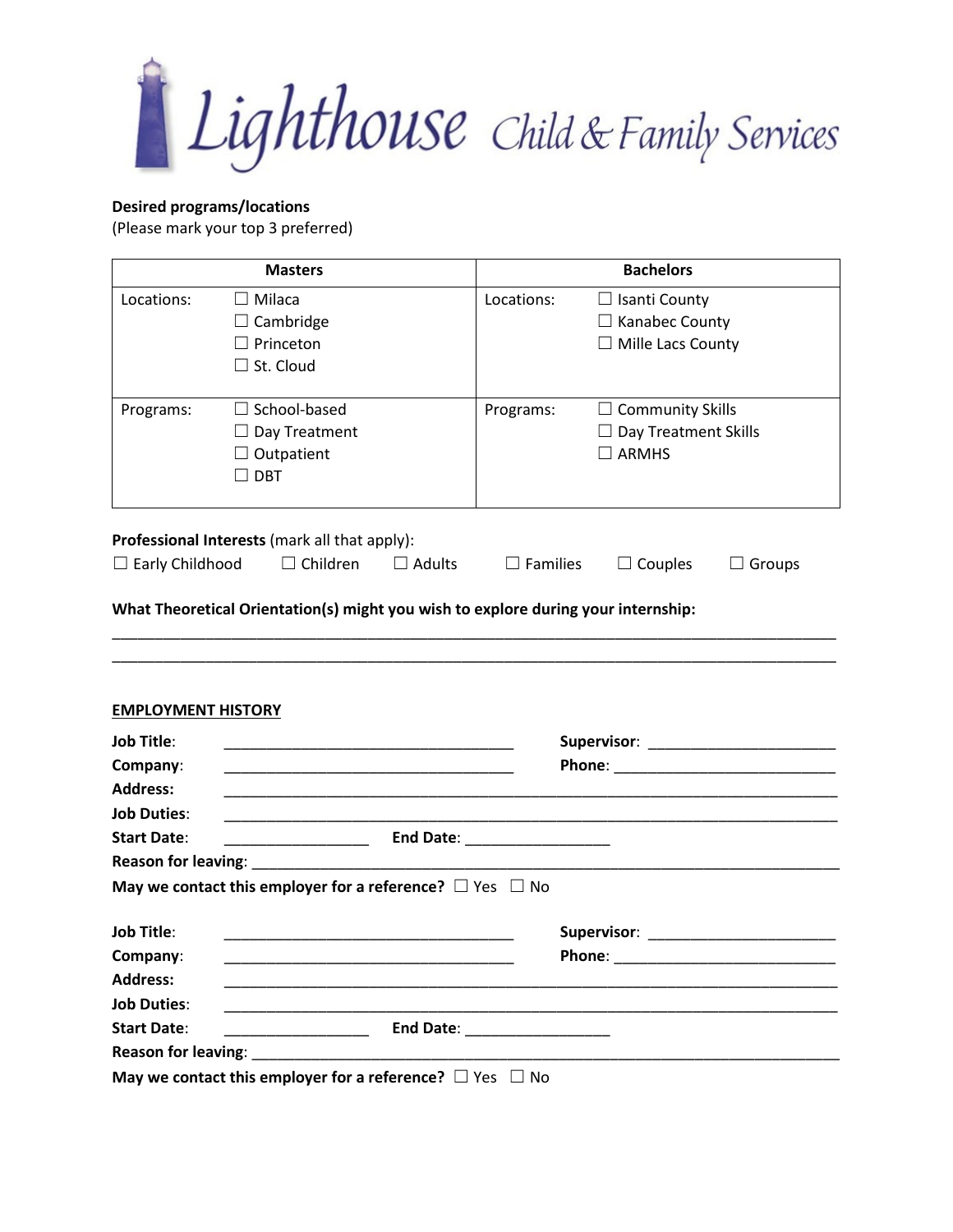Lighthouse Child & Family Services

## **Desired programs/locations**

(Please mark your top 3 preferred)

|                                                | <b>Masters</b>                                                                                                        |               | <b>Bachelors</b>                                                                                                                                                                                                              |                                                                           |               |  |
|------------------------------------------------|-----------------------------------------------------------------------------------------------------------------------|---------------|-------------------------------------------------------------------------------------------------------------------------------------------------------------------------------------------------------------------------------|---------------------------------------------------------------------------|---------------|--|
| Locations:                                     | $\Box$ Milaca<br>$\Box$ Cambridge<br>$\Box$ Princeton<br>$\Box$ St. Cloud                                             |               | Locations:                                                                                                                                                                                                                    | $\Box$ Isanti County<br>$\Box$ Kanabec County<br>$\Box$ Mille Lacs County |               |  |
| Programs:                                      | $\Box$ School-based<br>$\Box$ Day Treatment<br>$\Box$ Outpatient<br>$\Box$ DBT                                        |               | Programs:                                                                                                                                                                                                                     | $\Box$ Community Skills<br>$\Box$ Day Treatment Skills<br>$\square$ ARMHS |               |  |
|                                                | Professional Interests (mark all that apply):                                                                         |               |                                                                                                                                                                                                                               |                                                                           |               |  |
| $\Box$ Early Childhood                         | $\Box$ Children                                                                                                       | $\Box$ Adults | $\Box$ Families                                                                                                                                                                                                               | $\Box$ Couples                                                            | $\Box$ Groups |  |
| <b>EMPLOYMENT HISTORY</b><br><b>Job Title:</b> | <u> 1989 - Johann John Stone, mars eta biztanleria (h. 1989).</u>                                                     |               |                                                                                                                                                                                                                               |                                                                           |               |  |
| Company:<br><b>Address:</b>                    | <u> 1989 - Johann John Stone, markin amerikan basa dan berasal dan berasal dari berasal dalam basa dalam berasal</u>  |               |                                                                                                                                                                                                                               |                                                                           |               |  |
| <b>Job Duties:</b>                             |                                                                                                                       |               |                                                                                                                                                                                                                               |                                                                           |               |  |
| <b>Start Date:</b>                             |                                                                                                                       |               |                                                                                                                                                                                                                               |                                                                           |               |  |
|                                                |                                                                                                                       |               |                                                                                                                                                                                                                               |                                                                           |               |  |
|                                                | May we contact this employer for a reference? $\Box$ Yes $\Box$ No                                                    |               |                                                                                                                                                                                                                               |                                                                           |               |  |
| <b>Job Title:</b>                              |                                                                                                                       |               | Supervisor: National Property of the Supervisor:                                                                                                                                                                              |                                                                           |               |  |
| Company:                                       |                                                                                                                       |               | Phone:                                                                                                                                                                                                                        |                                                                           |               |  |
| <b>Address:</b>                                |                                                                                                                       |               |                                                                                                                                                                                                                               |                                                                           |               |  |
| <b>Job Duties:</b>                             |                                                                                                                       |               |                                                                                                                                                                                                                               |                                                                           |               |  |
| <b>Start Date:</b>                             | <u> 1999 - Johann Stein, mars and de Branch and de Branch and de Branch and de Branch and de Branch and de Branch</u> |               | End Date: The Contract of the Contract of the Contract of the Contract of the Contract of the Contract of the Contract of the Contract of the Contract of the Contract of the Contract of the Contract of the Contract of the |                                                                           |               |  |
|                                                | Reason for leaving: Neason for leaving:                                                                               |               |                                                                                                                                                                                                                               |                                                                           |               |  |
|                                                | May we contact this employer for a reference? $\Box$ Yes $\Box$ No                                                    |               |                                                                                                                                                                                                                               |                                                                           |               |  |